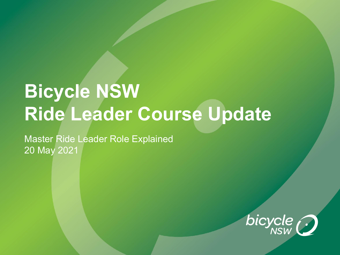# **Bicycle NSW Ride Leader Course Update**

Master Ride Leader Role Explained 20 May 2021

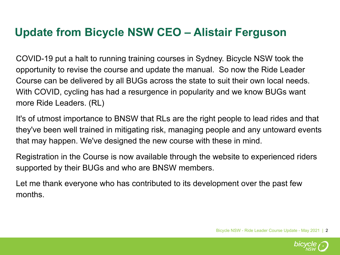## **Update from Bicycle NSW CEO – Alistair Ferguson**

COVID-19 put a halt to running training courses in Sydney. Bicycle NSW took the opportunity to revise the course and update the manual. So now the Ride Leader Course can be delivered by all BUGs across the state to suit their own local needs. With COVID, cycling has had a resurgence in popularity and we know BUGs want more Ride Leaders. (RL)

It's of utmost importance to BNSW that RLs are the right people to lead rides and that they've been well trained in mitigating risk, managing people and any untoward events that may happen. We've designed the new course with these in mind.

Registration in the Course is now available through the website to experienced riders supported by their BUGs and who are BNSW members.

Let me thank everyone who has contributed to its development over the past few months.

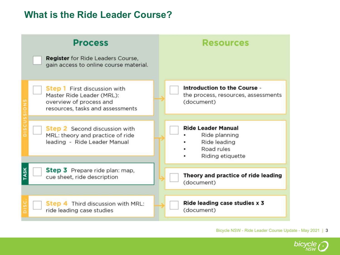#### **What is the Ride Leader Course?**



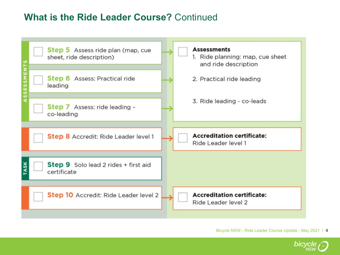## **What is the Ride Leader Course?** Continued



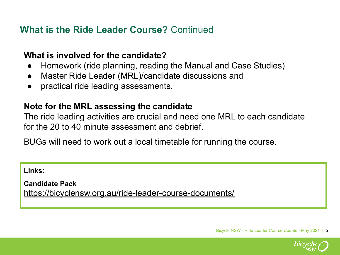## **What is the Ride Leader Course?** Continued

#### **What is involved for the candidate?**

- Homework (ride planning, reading the Manual and Case Studies)
- Master Ride Leader (MRL)/candidate discussions and
- practical ride leading assessments.

#### **Note for the MRL assessing the candidate**

The ride leading activities are crucial and need one MRL to each candidate for the 20 to 40 minute assessment and debrief.

BUGs will need to work out a local timetable for running the course.

**Links:** 

**Candidate Pack** <https://bicyclensw.org.au/ride-leader-course-documents/>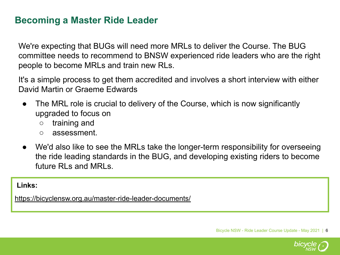## **Becoming a Master Ride Leader**

We're expecting that BUGs will need more MRLs to deliver the Course. The BUG committee needs to recommend to BNSW experienced ride leaders who are the right people to become MRLs and train new RLs.

It's a simple process to get them accredited and involves a short interview with either David Martin or Graeme Edwards

- The MRL role is crucial to delivery of the Course, which is now significantly upgraded to focus on
	- training and
	- assessment.
- We'd also like to see the MRLs take the longer-term responsibility for overseeing the ride leading standards in the BUG, and developing existing riders to become future RLs and MRLs.

#### **Links:**

<https://bicyclensw.org.au/master-ride-leader-documents/>

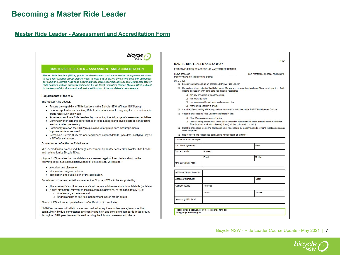#### **Becoming a Master Ride Leader**

#### **[Master Ride Leader - Assessment and Accreditation Form](https://bicyclensw.org.au/wp-content/uploads/2021/03/Master-Ride-Leader-Assessor-Form-BNSW-310321.pdf)**



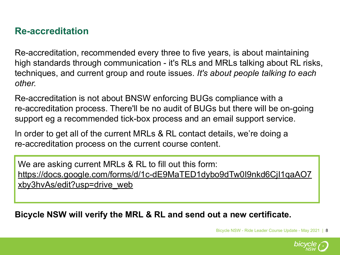## **Re-accreditation**

Re-accreditation, recommended every three to five years, is about maintaining high standards through communication - it's RLs and MRLs talking about RL risks, techniques, and current group and route issues. *It's about people talking to each other.*

Re-accreditation is not about BNSW enforcing BUGs compliance with a re-accreditation process. There'll be no audit of BUGs but there will be on-going support eg a recommended tick-box process and an email support service.

In order to get all of the current MRLs & RL contact details, we're doing a re-accreditation process on the current course content.

We are asking current MRLs & RL to fill out this form: [https://docs.google.com/forms/d/1c-dE9MaTED1dybo9dTw0I9nkd6CjI1qaAO7](https://docs.google.com/forms/d/1c-dE9MaTED1dybo9dTw0I9nkd6CjI1qaAO7xby3hvAs/edit?usp=drive_web) [xby3hvAs/edit?usp=drive\\_web](https://docs.google.com/forms/d/1c-dE9MaTED1dybo9dTw0I9nkd6CjI1qaAO7xby3hvAs/edit?usp=drive_web)

**Bicycle NSW will verify the MRL & RL and send out a new certificate.** 

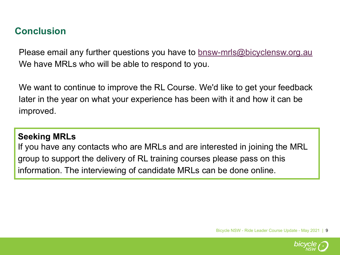## **Conclusion**

Please email any further questions you have to **[bnsw-mrls@bicyclensw.org.au](mailto:bnsw-mrls@bicyclensw.org.au)** We have MRLs who will be able to respond to you.

We want to continue to improve the RL Course. We'd like to get your feedback later in the year on what your experience has been with it and how it can be improved.

#### **Seeking MRLs**

If you have any contacts who are MRLs and are interested in joining the MRL group to support the delivery of RL training courses please pass on this information. The interviewing of candidate MRLs can be done online.